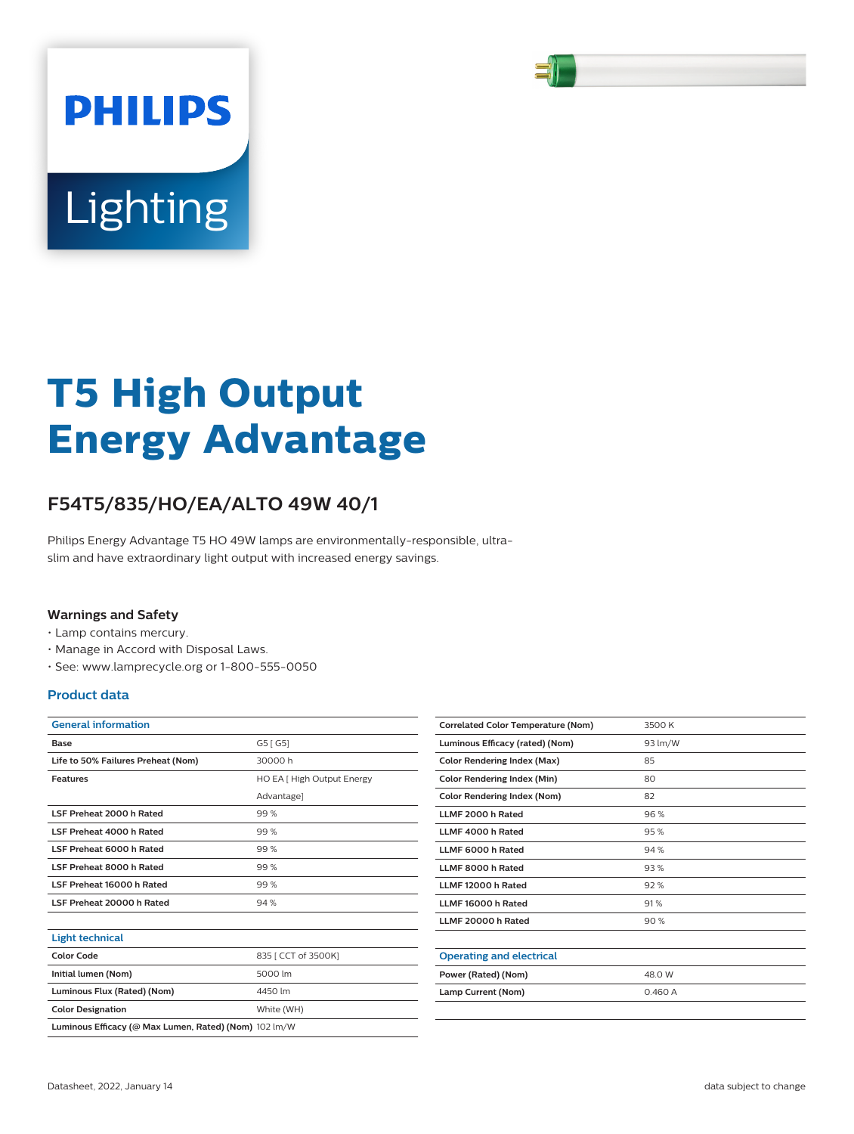

# Lighting

**PHILIPS** 

# **T5 High Output Energy Advantage**

# **F54T5/835/HO/EA/ALTO 49W 40/1**

Philips Energy Advantage T5 HO 49W lamps are environmentally-responsible, ultraslim and have extraordinary light output with increased energy savings.

### **Warnings and Safety**

- Lamp contains mercury.
- Manage in Accord with Disposal Laws.
- See: www.lamprecycle.org or 1-800-555-0050

**Color Designation** White (WH) **Luminous Ecacy (@ Max Lumen, Rated) (Nom)** 102 lm/W

### **Product data**

| <b>General information</b>         |                            |  |  |
|------------------------------------|----------------------------|--|--|
| G5 [ G5]<br>Base                   |                            |  |  |
| Life to 50% Failures Preheat (Nom) | 30000h                     |  |  |
| <b>Features</b>                    | HO EA [ High Output Energy |  |  |
|                                    | Advantage]                 |  |  |
| <b>LSF Preheat 2000 h Rated</b>    | 99%                        |  |  |
| <b>I SE Preheat 4000 h Rated</b>   | 99%                        |  |  |
| LSF Preheat 6000 h Rated           | 99%                        |  |  |
| LSF Preheat 8000 h Rated           | 99%                        |  |  |
| LSF Preheat 16000 h Rated          | 99%                        |  |  |
| LSF Preheat 20000 h Rated          | 94%                        |  |  |
|                                    |                            |  |  |
| <b>Light technical</b>             |                            |  |  |
| <b>Color Code</b>                  | 835 [ CCT of 3500K]        |  |  |
| Initial lumen (Nom)                | 5000 lm                    |  |  |
| Luminous Flux (Rated) (Nom)        | 4450 lm                    |  |  |

| <b>Correlated Color Temperature (Nom)</b> | 3500 K  |
|-------------------------------------------|---------|
| Luminous Efficacy (rated) (Nom)           | 93 lm/W |
| <b>Color Rendering Index (Max)</b>        | 85      |
| <b>Color Rendering Index (Min)</b>        | 80      |
| Color Rendering Index (Nom)               | 82      |
| LLMF 2000 h Rated                         | 96%     |
| LLMF 4000 h Rated                         | 95%     |
| LLMF 6000 h Rated                         | 94%     |
| LLMF 8000 h Rated                         | 93%     |
| LLMF 12000 h Rated                        | 92%     |
| LLMF 16000 h Rated                        | 91%     |
| LLMF 20000 h Rated                        | 90%     |
|                                           |         |
| <b>Operating and electrical</b>           |         |
| Power (Rated) (Nom)                       | 48.0 W  |
| Lamp Current (Nom)                        | 0.460A  |
|                                           |         |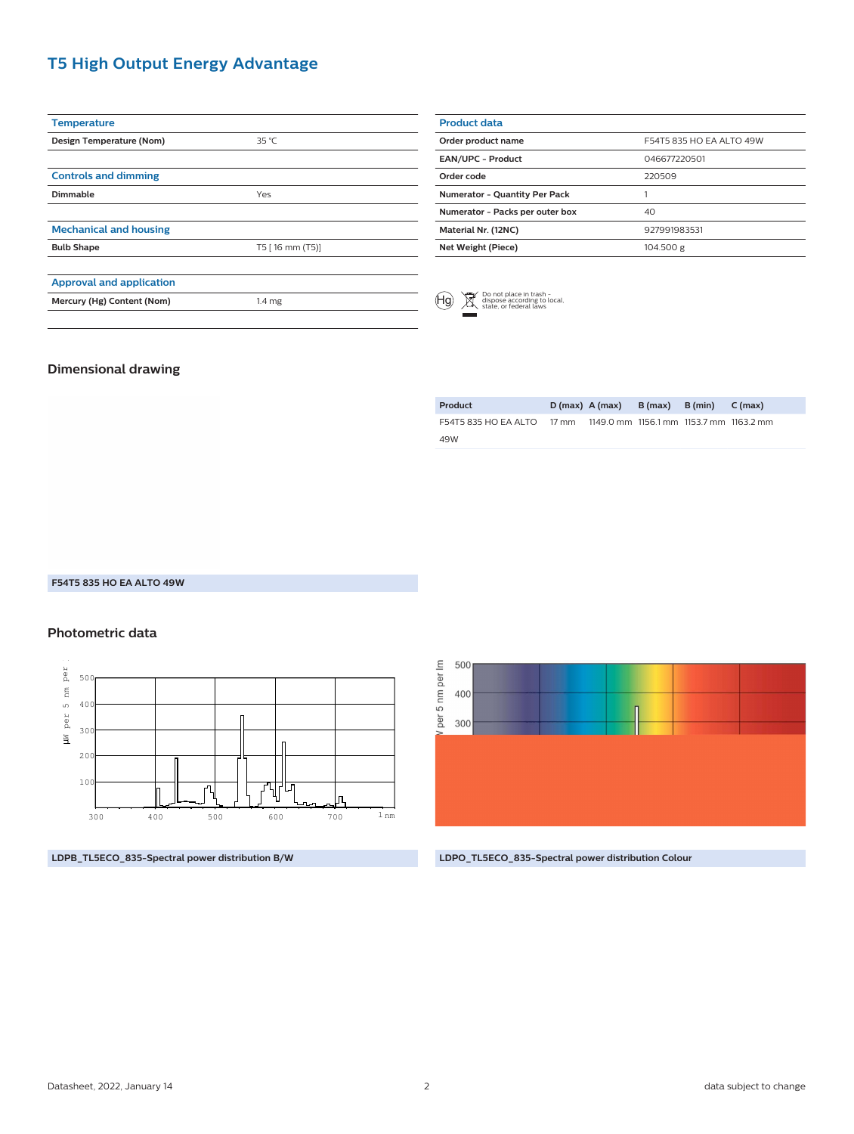# **T5 High Output Energy Advantage**

| <b>Temperature</b>              |                   |  |
|---------------------------------|-------------------|--|
| Design Temperature (Nom)        | 35 °C             |  |
|                                 |                   |  |
| <b>Controls and dimming</b>     |                   |  |
| Dimmable                        | Yes               |  |
|                                 |                   |  |
| <b>Mechanical and housing</b>   |                   |  |
| <b>Bulb Shape</b>               | T5 [16 mm (T5)]   |  |
|                                 |                   |  |
| <b>Approval and application</b> |                   |  |
| Mercury (Hg) Content (Nom)      | 1.4 <sub>mg</sub> |  |
|                                 |                   |  |

| <b>Product data</b>                  |                          |
|--------------------------------------|--------------------------|
| Order product name                   | F54T5 835 HO FA ALTO 49W |
| <b>EAN/UPC - Product</b>             | 046677220501             |
| Order code                           | 220509                   |
| <b>Numerator - Quantity Per Pack</b> |                          |
| Numerator - Packs per outer box      | 40                       |
| Material Nr. (12NC)                  | 927991983531             |
| Net Weight (Piece)                   | 104.500 g                |
|                                      |                          |



## **Dimensional drawing**

| Product                                                            | $D(max)$ A $(max)$ | B (max) B (min) | C (max) |
|--------------------------------------------------------------------|--------------------|-----------------|---------|
| F54T5 835 HO FA ALTO 17 mm 1149.0 mm 1156.1 mm 1153.7 mm 1163.2 mm |                    |                 |         |
| 49W                                                                |                    |                 |         |

#### **F54T5 835 HO EA ALTO 49W**

#### **Photometric data**